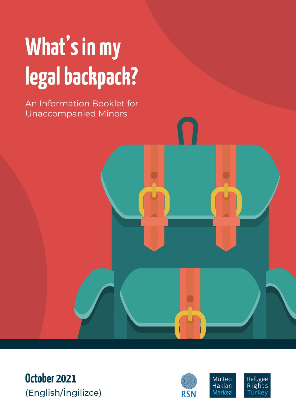# **What's in my legal backpack?**

An Information Booklet for Unaccompanied Minors

**October 2021** (English/İngilizce)

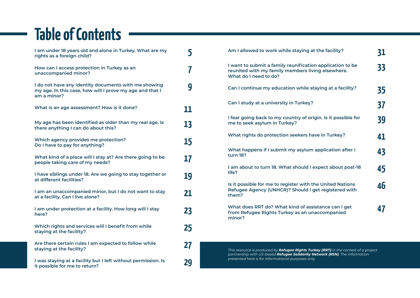## **Table of Contents**

| I am under 18 years old and alone in Turkey. What are my<br>rights as a foreign child?                                          | 5  |
|---------------------------------------------------------------------------------------------------------------------------------|----|
| How can I access protection in Turkey as an<br>unaccompanied minor?                                                             | 7  |
| I do not have any identity documents with me showing<br>my age. In this case, how will I prove my age and that I<br>am a minor? | 9  |
| What is an age assessment? How is it done?                                                                                      | 11 |
| My age has been identified as older than my real age. Is<br>there anything I can do about this?                                 | 13 |
| Which agency provides me protection?<br>Do I have to pay for anything?                                                          | 15 |
| What kind of a place will I stay at? Are there going to be<br>people taking care of my needs?                                   | 17 |
| I have siblings under 18. Are we going to stay together or<br>at different facilities?                                          | 19 |
| I am an unaccompanied minor, but I do not want to stay<br>at a facility. Can I live alone?                                      | 21 |
| I am under protection at a facility. How long will I stay<br>here?                                                              | 23 |
| Which rights and services will I benefit from while<br>staying at the facility?                                                 | 25 |
| Are there certain rules I am expected to follow while<br>staying at the facility?                                               | 27 |
| I was staying at a facility but I left without permission. Is<br>it possible for me to return?                                  | 29 |

| Am I allowed to work while staying at the facility?                                                                                     | <b>31</b> |
|-----------------------------------------------------------------------------------------------------------------------------------------|-----------|
| I want to submit a family reunification application to be<br>reunited with my family members living elsewhere.<br>What do I need to do? | 33        |
| Can I continue my education while staying at a facility?                                                                                | 35        |
| Can I study at a university in Turkey?                                                                                                  | 37        |
| I fear going back to my country of origin. Is it possible for<br>me to seek asylum in Turkey?                                           | 39        |
| What rights do protection seekers have in Turkey?                                                                                       | 41        |
| What happens if I submit my asylum application after I<br><b>turn 18?</b>                                                               | 43        |
| I am about to turn 18. What should I expect about post-18<br>life?                                                                      | 45        |
| Is it possible for me to register with the United Nations<br>Refugee Agency (UNHCR)? Should I get registered with<br>them?              | 46        |
| What does RRT do? What kind of assistance can I get<br>from Refugee Rights Turkey as an unaccompanied<br>minor?                         | 47        |
|                                                                                                                                         |           |

*This resource is produced by Refugee Rights Turkey (RRT) in the context of a project partnership with US-based Refugee Solidarity Network (RSN). The information presented here is for informational purposes only.*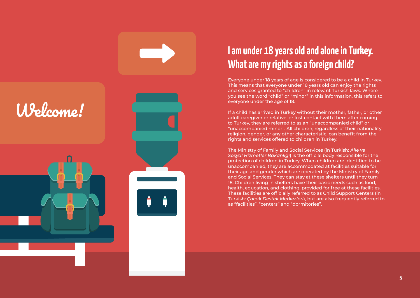

#### **I am under 18 years old and alone in Turkey. What are my rights as a foreign child?**

Everyone under 18 years of age is considered to be a child in Turkey. This means that everyone under 18 years old can enjoy the rights and services granted to "children" in relevant Turkish laws. Where you see the word "child" or "minor" in this information, this refers to everyone under the age of 18.

If a child has arrived in Turkey without their mother, father, or other adult caregiver or relative; or lost contact with them after coming to Turkey, they are referred to as an "unaccompanied child" or "unaccompanied minor". All children, regardless of their nationality, religion, gender, or any other characteristic, can benefit from the rights and services offered to children in Turkey.

The Ministry of Family and Social Services (in Turkish: *Aile ve Sosyal Hizmetler Bakanlığı*) is the official body responsible for the protection of children in Turkey. When children are identified to be unaccompanied, they are accommodated at facilities suitable for their age and gender which are operated by the Ministry of Family and Social Services. They can stay at these shelters until they turn 18. Children living in shelters have their basic needs such as food, health, education, and clothing, provided for free at these facilities. These facilities are officially referred to as Child Support Centers (in Turkish: *Çocuk Destek Merkezleri*), but are also frequently referred to as "facilities", "centers" and "dormitories".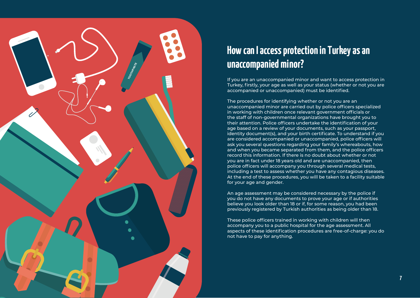

#### **How can I access protection in Turkey as an unaccompanied minor?**

If you are an unaccompanied minor and want to access protection in Turkey, firstly, your age as well as your status (whether or not you are accompanied or unaccompanied) must be identified.

The procedures for identifying whether or not you are an unaccompanied minor are carried out by police officers specialized in working with children once relevant government officials or the staff of non-governmental organizations have brought you to their attention. Police officers undertake the identification of your age based on a review of your documents, such as your passport, identity document(s), and your birth certificate. To understand if you are considered accompanied or unaccompanied, police officers will ask you several questions regarding your family's whereabouts, how and when you became separated from them, and the police officers record this information. If there is no doubt about whether or not you are in fact under 18 years old and are unaccompanied, then police officers will accompany you through several medical tests, including a test to assess whether you have any contagious diseases. At the end of these procedures, you will be taken to a facility suitable for your age and gender.

An age assessment may be considered necessary by the police if you do not have any documents to prove your age or if authorities believe you look older than 18 or if, for some reason, you had been previously registered by Turkish authorities as being older than 18.

These police officers trained in working with children will then accompany you to a public hospital for the age assessment. All aspects of these identification procedures are free-of-charge: you do not have to pay for anything.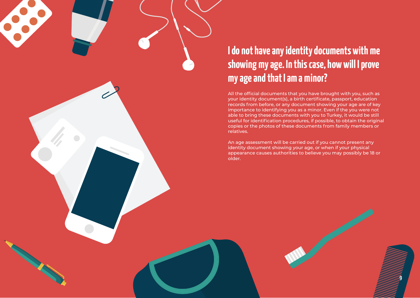#### **I do not have any identity documents with me showing my age. In this case, how will I prove my age and that I am a minor?**

All the official documents that you have brought with you, such as your identity document(s), a birth certificate, passport, education records from before, or any document showing your age are of key importance to identifying you as a minor. Even if the you were not able to bring these documents with you to Turkey, it would be still useful for identification procedures, if possible, to obtain the original copies or the photos of these documents from family members or relatives.

An age assessment will be carried out if you cannot present any identity document showing your age, or when if your physical appearance causes authorities to believe you may possibly be 18 or older.

**9**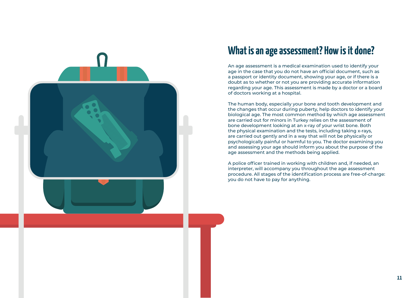

#### **What is an age assessment? How is it done?**

An age assessment is a medical examination used to identify your age in the case that you do not have an official document, such as a passport or identity document, showing your age, or if there is a doubt as to whether or not you are providing accurate information regarding your age. This assessment is made by a doctor or a board of doctors working at a hospital.

The human body, especially your bone and tooth development and the changes that occur during puberty, help doctors to identify your biological age. The most common method by which age assessment are carried out for minors in Turkey relies on the assessment of bone development looking at an x-ray of your wrist bone. Both the physical examination and the tests, including taking x-rays, are carried out gently and in a way that will not be physically or psychologically painful or harmful to you. The doctor examining you and assessing your age should inform you about the purpose of the age assessment and the methods being applied.

A police officer trained in working with children and, if needed, an interpreter, will accompany you throughout the age assessment procedure. All stages of the identification process are free-of-charge: you do not have to pay for anything.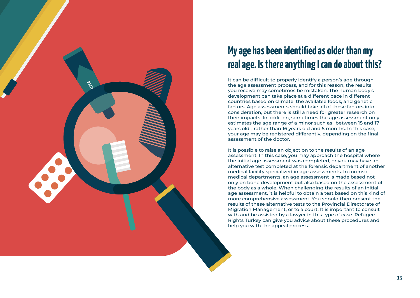

#### **My age has been identified as older than my real age. Is there anything I can do about this?**

It can be difficult to properly identify a person's age through the age assessment process, and for this reason, the results you receive may sometimes be mistaken. The human body's development can take place at a different pace in different countries based on climate, the available foods, and genetic factors. Age assessments should take all of these factors into consideration, but there is still a need for greater research on their impacts. In addition, sometimes the age assessment only estimates the age range of a minor such as "between 15 and 17 years old", rather than 16 years old and 5 months. In this case, your age may be registered differently, depending on the final assessment of the doctor.

It is possible to raise an objection to the results of an age assessment. In this case, you may approach the hospital where the initial age assessment was completed, or you may have an alternative test completed at the forensic department of another medical facility specialized in age assessments. In forensic medical departments, an age assessment is made based not only on bone development but also based on the assessment of the body as a whole. When challenging the results of an initial age assessment, it is helpful to obtain a test based on this kind of more comprehensive assessment. You should then present the results of these alternative tests to the Provincial Directorate of Migration Management, or to a court. It is important to consult with and be assisted by a lawyer in this type of case. Refugee Rights Turkey can give you advice about these procedures and help you with the appeal process.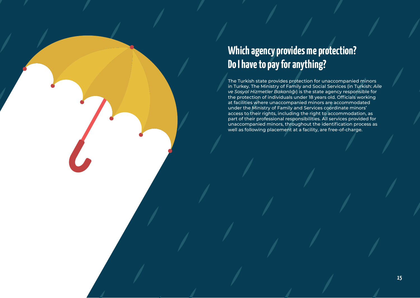## **Which agency provides me protection? Do I have to pay for anything?**

The Turkish state provides protection for unaccompanied minors in Turkey. The Ministry of Family and Social Services (in Turkish: *Aile ve Sosyal Hizmetler Bakanlığı*) is the state agency responsible for the protection of individuals under 18 years old. Officials working at facilities where unaccompanied minors are accommodated under the Ministry of Family and Services coordinate minors' access to their rights, including the right to accommodation, as part of their professional responsibilities. All services provided for unaccompanied minors, throughout the identification process as well as following placement at a facility, are free-of-charge.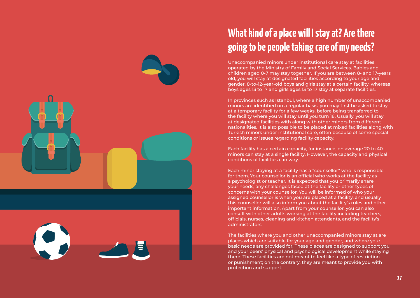

#### **What kind of a place will I stay at? Are there going to be people taking care of my needs?**

Unaccompanied minors under institutional care stay at facilities operated by the Ministry of Family and Social Services. Babies and children aged 0-7 may stay together. If you are between 8- and 17-years old, you will stay at designated facilities according to your age and gender. 8-to-12-year-old boys and girls stay at a certain facility, whereas boys ages 13 to 17 and girls ages 13 to 17 stay at separate facilities.

In provinces such as Istanbul, where a high number of unaccompanied minors are identified on a regular basis, you may first be asked to stay at a temporary facility for a few weeks, before being transferred to the facility where you will stay until you turn 18. Usually, you will stay at designated facilities with along with other minors from different nationalities. It is also possible to be placed at mixed facilities along with Turkish minors under institutional care, often because of some special conditions or issues regarding facility capacity.

Each facility has a certain capacity, for instance, on average 20 to 40 minors can stay at a single facility. However, the capacity and physical conditions of facilities can vary.

Each minor staying at a facility has a "counsellor" who is responsible for them. Your counsellor is an official who works at the facility as a psychologist or teacher. It is expected that you primarily share your needs, any challenges faced at the facility or other types of concerns with your counsellor. You will be informed of who your assigned counsellor is when you are placed at a facility, and usually this counsellor will also inform you about the facility's rules and other important information. Apart from your counsellor, you can also consult with other adults working at the facility including teachers, officials, nurses, cleaning and kitchen attendants, and the facility's administrators.

The facilities where you and other unaccompanied minors stay at are places which are suitable for your age and gender, and where your basic needs are provided for. These places are designed to support you and your peers' physical and psychological development while staying there. These facilities are not meant to feel like a type of restriction or punishment; on the contrary, they are meant to provide you with protection and support.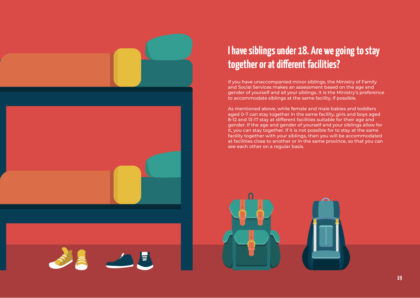

# **START START START START START START START START START START START START START START START START ST**

#### **I have siblings under 18. Are we going to stay together or at different facilities?**

If you have unaccompanied minor siblings, the Ministry of Family and Social Services makes an assessment based on the age and gender of yourself and all your siblings. It is the Ministry's preference to accommodate siblings at the same facility, if possible.

As mentioned above, while female and male babies and toddlers aged 0-7 can stay together in the same facility, girls and boys aged 8-12 and 13-17 stay at different facilities suitable for their age and gender. If the age and gender of yourself and your siblings allow for it, you can stay together. If it is not possible for to stay at the same facility together with your siblings, then you will be accommodated at facilities close to another or in the same province, so that you can see each other on a regular basis.

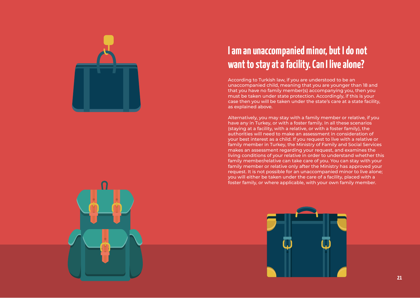

#### **I am an unaccompanied minor, but I do not want to stay at a facility. Can I live alone?**

According to Turkish law, if you are understood to be an unaccompanied child, meaning that you are younger than 18 and that you have no family member(s) accompanying you, then you must be taken under state protection. Accordingly, if this is your case then you will be taken under the state's care at a state facility, as explained above.

Alternatively, you may stay with a family member or relative, if you have any in Turkey, or with a foster family. In all these scenarios (staying at a facility, with a relative, or with a foster family), the authorities will need to make an assessment in consideration of your best interest as a child. If you request to live with a relative or family member in Turkey, the Ministry of Family and Social Services makes an assessment regarding your request, and examines the living conditions of your relative in order to understand whether this family member/relative can take care of you. You can stay with your family member or relative only after the Ministry has approved your request. It is not possible for an unaccompanied minor to live alone; you will either be taken under the care of a facility, placed with a foster family, or where applicable, with your own family member.



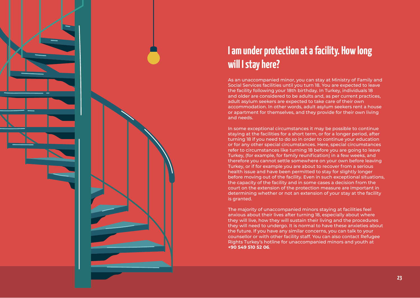

#### **I am under protection at a facility. How long will I stay here?**

As an unaccompanied minor, you can stay at Ministry of Family and Social Services facilities until you turn 18. You are expected to leave the facility following your 18th birthday. In Turkey, individuals 18 and older are considered to be adults and, as per current practices, adult asylum seekers are expected to take care of their own accommodation. In other words, adult asylum seekers rent a house or apartment for themselves, and they provide for their own living and needs.

In some exceptional circumstances it may be possible to continue staying at the facilities for a short term, or for a longer period, after turning 18 if you need to do so in order to continue your education or for any other special circumstances. Here, special circumstances refer to circumstances like turning 18 before you are going to leave Turkey, (for example, for family reunification) in a few weeks, and therefore you cannot settle somewhere on your own before leaving Turkey, or if for example you are about to recover from a serious health issue and have been permitted to stay for slightly longer before moving out of the facility. Even in such exceptional situations, the capacity of the facility and in some cases a decision from the court on the extension of the protection measure are important in determining whether or not an extension of your stay at the facility is granted.

The majority of unaccompanied minors staying at facilities feel anxious about their lives after turning 18, especially about where they will live, how they will sustain their living and the procedures they will need to undergo. It is normal to have these anxieties about the future. If you have any similar concerns, you can talk to your counsellor or with other facility staff. You can also contact Refugee Rights Turkey's hotline for unaccompanied minors and youth at **+90 549 510 52 06**.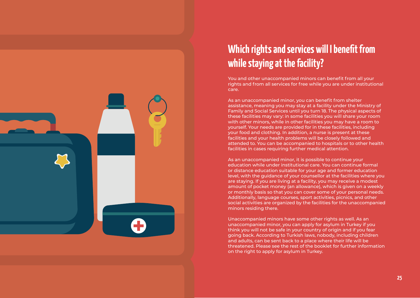

#### **Which rights and services will I benefit from while staying at the facility?**

You and other unaccompanied minors can benefit from all your rights and from all services for free while you are under institutional care.

As an unaccompanied minor, you can benefit from shelter assistance, meaning you may stay at a facility under the Ministry of Family and Social Services until you turn 18. The physical aspects of these facilities may vary: in some facilities you will share your room with other minors, while in other facilities you may have a room to yourself. Your needs are provided for in these facilities, including your food and clothing. In addition, a nurse is present at these facilities and your health problems will be closely followed and attended to. You can be accompanied to hospitals or to other health facilities in cases requiring further medical attention.

As an unaccompanied minor, it is possible to continue your education while under institutional care. You can continue formal or distance education suitable for your age and former education level, with the guidance of your counsellor at the facilities where you are staying. If you are living at a facility, you may receive a modest amount of pocket money (an allowance), which is given on a weekly or monthly basis so that you can cover some of your personal needs. Additionally, language courses, sport activities, picnics, and other social activities are organized by the facilities for the unaccompanied minors residing there.

Unaccompanied minors have some other rights as well. As an unaccompanied minor, you can apply for asylum in Turkey if you think you will not be safe in your country of origin and if you fear going back. According to Turkish laws, nobody, including children and adults, can be sent back to a place where their life will be threatened. Please see the rest of the booklet for further information on the right to apply for asylum in Turkey.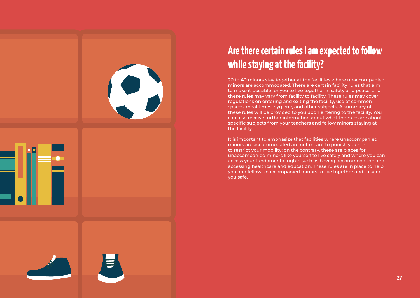| 31<br>Ť |   |
|---------|---|
|         | E |

#### **Are there certain rules I am expected to follow while staying at the facility?**

20 to 40 minors stay together at the facilities where unaccompanied minors are accommodated. There are certain facility rules that aim to make it possible for you to live together in safety and peace, and these rules may vary from facility to facility. These rules may cover regulations on entering and exiting the facility, use of common spaces, meal times, hygiene, and other subjects. A summary of these rules will be provided to you upon entering to the facility. You can also receive further information about what the rules are about specific subjects from your teachers and fellow minors staying at the facility.

It is important to emphasize that facilities where unaccompanied minors are accommodated are not meant to punish you nor to restrict your mobility; on the contrary, these are places for unaccompanied minors like yourself to live safely and where you can access your fundamental rights such as having accommodation and accessing healthcare and education. These rules are in place to help you and fellow unaccompanied minors to live together and to keep you safe.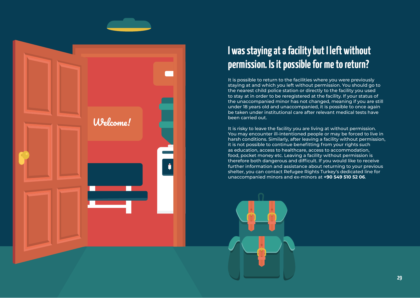

#### **I was staying at a facility but I left without permission. Is it possible for me to return?**

It is possible to return to the facilities where you were previously staying at and which you left without permission. You should go to the nearest child police station or directly to the facility you used to stay at in order to be reregistered at the facility. If your status of the unaccompanied minor has not changed, meaning if you are still under 18 years old and unaccompanied, it is possible to once again be taken under institutional care after relevant medical tests have been carried out.

It is risky to leave the facility you are living at without permission. You may encounter ill-intentioned people or may be forced to live in harsh conditions. Similarly, after leaving a facility without permission, it is not possible to continue benefitting from your rights such as education, access to healthcare, access to accommodation, food, pocket money etc. Leaving a facility without permission is therefore both dangerous and difficult. If you would like to receive further information and assistance about returning to your previous shelter, you can contact Refugee Rights Turkey's dedicated line for unaccompanied minors and ex-minors at **+90 549 510 52 06**.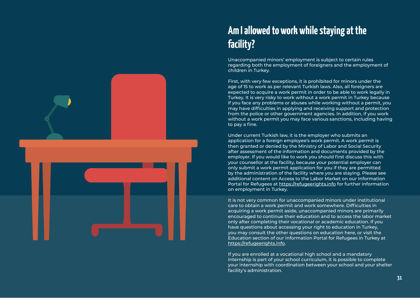

## **Am I allowed to work while staying at the facility?**

Unaccompanied minors' employment is subject to certain rules regarding both the employment of foreigners and the employment of children in Turkey.

First, with very few exceptions, it is prohibited for minors under the age of 15 to work as per relevant Turkish laws. Also, all foreigners are expected to acquire a work permit in order to be able to work legally in Turkey. It is very risky to work without a work permit in Turkey because if you face any problems or abuses while working without a permit, you may have difficulties in applying and receiving support and protection from the police or other government agencies. In addition, if you work without a work permit you may face various sanctions, including having to pay a fine.

Under current Turkish law, it is the employer who submits an application for a foreign employee's work permit. A work permit is then granted or denied by the Ministry of Labor and Social Security after assessment of the information and documents provided by the employer. If you would like to work you should first discuss this with your counsellor at the facility, because your potential employer can only submit a work permit application for you if they are permitted by the administration of the facility where you are staying. Please see additional content on Access to the Labor Market on our Information Portal for Refugees at<https://refugeerights.info>for further information on employment in Turkey.

It is not very common for unaccompanied minors under institutional care to obtain a work permit and work somewhere. Difficulties in acquiring a work permit aside, unaccompanied minors are primarily encouraged to continue their education and to access the labor market only after completing their vocational or academic education. If you have questions about accessing your right to education in Turkey, you may consult the other questions on education here, or visit the Education section of our Information Portal for Refugees in Turkey at [https://refugeerights.info.](https://refugeerights.info)

If you are enrolled at a vocational high school and a mandatory internship is part of your school curriculum, it is possible to complete your internship with coordination between your school and your shelter facility's administration.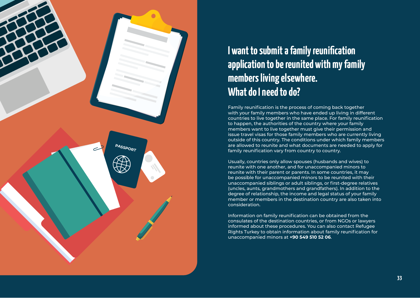

#### **I want to submit a family reunification application to be reunited with my family members living elsewhere. What do I need to do?**

Family reunification is the process of coming back together with your family members who have ended up living in different countries to live together in the same place. For family reunification to happen, the authorities of the country where your family members want to live together must give their permission and issue travel visas for those family members who are currently living outside of this country. The conditions under which family members are allowed to reunite and what documents are needed to apply for family reunification vary from country to country.

Usually, countries only allow spouses (husbands and wives) to reunite with one another, and for unaccompanied minors to reunite with their parent or parents. In some countries, it may be possible for unaccompanied minors to be reunited with their unaccompanied siblings or adult siblings, or first-degree relatives (uncles, aunts, grandmothers and grandfathers). In addition to the degree of relationship, the income and legal status of your family member or members in the destination country are also taken into consideration.

Information on family reunification can be obtained from the consulates of the destination countries, or from NGOs or lawyers informed about these procedures. You can also contact Refugee Rights Turkey to obtain information about family reunification for unaccompanied minors at **+90 549 510 52 06**.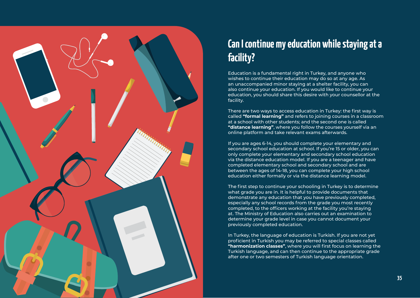

## **Can I continue my education while staying at a facility?**

Education is a fundamental right in Turkey, and anyone who wishes to continue their education may do so at any age. As an unaccompanied minor staying at a shelter facility, you can also continue your education. If you would like to continue your education, you should share this desire with your counsellor at the facility.

There are two ways to access education in Turkey: the first way is called **"formal learning"** and refers to joining courses in a classroom at a school with other students; and the second one is called **"distance learning"**, where you follow the courses yourself via an online platform and take relevant exams afterwards.

If you are ages 6-14, you should complete your elementary and secondary school education at school. If you're 15 or older, you can only complete your elementary and secondary school education via the distance education model. If you are a teenager and have completed elementary school and secondary school and are between the ages of 14-18, you can complete your high school education either formally or via the distance learning model.

The first step to continue your schooling in Turkey is to determine what grade you are in. It is helpful to provide documents that demonstrate any education that you have previously completed, especially any school records from the grade you most recently completed, to the officers working at the facility you're staying at. The Ministry of Education also carries out an examination to determine your grade level in case you cannot document your previously completed education.

In Turkey, the language of education is Turkish. If you are not yet proficient in Turkish you may be referred to special classes called **"harmonization classes"**, where you will first focus on learning the Turkish language, and can then continue to the appropriate grade after one or two semesters of Turkish language orientation.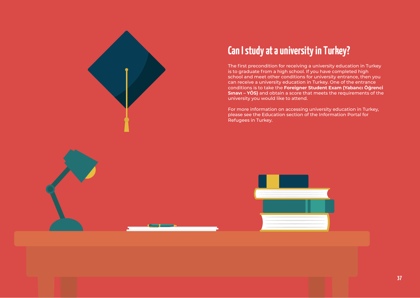

#### **Can I study at a university in Turkey?**

The first precondition for receiving a university education in Turkey is to graduate from a high school. If you have completed high school and meet other conditions for university entrance, then you can receive a university education in Turkey. One of the entrance conditions is to take the **Foreigner Student Exam (Yabancı Öğrenci Sınavı – YÖS)** and obtain a score that meets the requirements of the university you would like to attend.

For more information on accessing university education in Turkey, please see the Education section of the Information Portal for Refugees in Turkey.

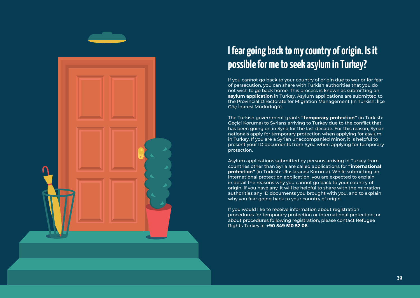

#### **I fear going back to my country of origin. Is it possible for me to seek asylum in Turkey?**

If you cannot go back to your country of origin due to war or for fear of persecution, you can share with Turkish authorities that you do not wish to go back home. This process is known as submitting an **asylum application** in Turkey. Asylum applications are submitted to the Provincial Directorate for Migration Management (in Turkish: İlçe Göç İdaresi Müdürlüğü).

The Turkish government grants **"temporary protection"** (in Turkish: Geçici Koruma) to Syrians arriving to Turkey due to the conflict that has been going on in Syria for the last decade. For this reason, Syrian nationals apply for temporary protection when applying for asylum in Turkey. If you are a Syrian unaccompanied minor, it is helpful to present your ID documents from Syria when applying for temporary protection.

Asylum applications submitted by persons arriving in Turkey from countries other than Syria are called applications for **"international protection"** (in Turkish: Uluslararası Koruma). While submitting an international protection application, you are expected to explain in detail the reasons why you cannot go back to your country of origin. If you have any, it will be helpful to share with the migration authorities any ID documents you brought with you, and to explain why you fear going back to your country of origin.

If you would like to receive information about registration procedures for temporary protection or international protection; or about procedures following registration, please contact Refugee Rights Turkey at **+90 549 510 52 06**.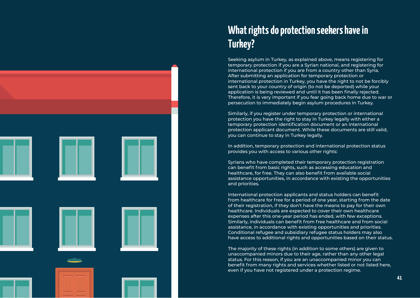

#### **What rights do protection seekers have in Turkey?**

Seeking asylum in Turkey, as explained above, means registering for temporary protection if you are a Syrian national, and registering for international protection if you are from a country other than Syria. After submitting an application for temporary protection or international protection in Turkey, you have the right to not be forcibly sent back to your country of origin (to not be deported) while your application is being reviewed and until it has been finally rejected. Therefore, it is very important if you fear going back home due to war or persecution to immediately begin asylum procedures in Turkey.

Similarly, if you register under temporary protection or international protection you have the right to stay in Turkey legally with either a temporary protection identification document or an international protection applicant document. While these documents are still valid, you can continue to stay in Turkey legally.

In addition, temporary protection and international protection status provides you with access to various other rights:

Syrians who have completed their temporary protection registration can benefit from basic rights, such as accessing education and healthcare, for free. They can also benefit from available social assistance opportunities, in accordance with existing the opportunities and priorities.

International protection applicants and status holders can benefit from healthcare for free for a period of one year, starting from the date of their registration, if they don't have the means to pay for their own healthcare. Individuals are expected to cover their own healthcare expenses after this one-year period has ended, with few exceptions. Similarly, individuals can benefit from free healthcare and from social assistance, in accordance with existing opportunities and priorities. Conditional refugee and subsidiary refugee status holders may also have access to additional rights and opportunities based on their status.

The majority of these rights (in addition to some others) are given to unaccompanied minors due to their age, rather than any other legal status. For this reason, if you are an unaccompanied minor you can benefit from many rights and services whether listed or not listed here, even if you have not registered under a protection regime.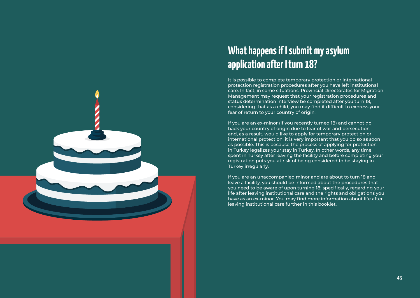

#### **What happens if I submit my asylum application after I turn 18?**

It is possible to complete temporary protection or international protection registration procedures after you have left institutional care. In fact, in some situations, Provincial Directorates for Migration Management may request that your registration procedures and status determination interview be completed after you turn 18, considering that as a child, you may find it difficult to express your fear of return to your country of origin.

If you are an ex-minor (if you recently turned 18) and cannot go back your country of origin due to fear of war and persecution and, as a result, would like to apply for temporary protection or international protection, it is very important that you do so as soon as possible. This is because the process of applying for protection in Turkey legalizes your stay in Turkey. In other words, any time spent in Turkey after leaving the facility and before completing your registration puts you at risk of being considered to be staying in Turkey irregularly.

If you are an unaccompanied minor and are about to turn 18 and leave a facility, you should be informed about the procedures that you need to be aware of upon turning 18; specifically, regarding your life after leaving institutional care and the rights and obligations you have as an ex-minor. You may find more information about life after leaving institutional care further in this booklet.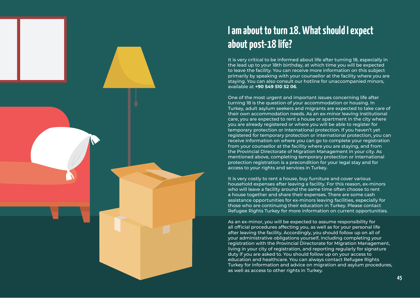

#### **I am about to turn 18. What should I expect about post-18 life?**

It is very critical to be informed about life after turning 18, especially in the lead up to your 18th birthday, at which time you will be expected to leave the facility. You can receive more information on this subject primarily by speaking with your counsellor at the facility where you are staying. You can also consult our hotline for unaccompanied minors, available at **+90 549 510 52 06**.

One of the most urgent and important issues concerning life after turning 18 is the question of your accommodation or housing. In Turkey, adult asylum seekers and migrants are expected to take care of their own accommodation needs. As an ex-minor leaving institutional care, you are expected to rent a house or apartment in the city where you are already registered or where you will be able to register for temporary protection or international protection. If you haven't yet registered for temporary protection or international protection, you can receive information on where you can go to complete your registration from your counsellor at the facility where you are staying, and from the Provincial Directorate of Migration Management in your city. As mentioned above, completing temporary protection or international protection registration is a precondition for your legal stay and for access to your rights and services in Turkey.

It is very costly to rent a house, buy furniture and cover various household expenses after leaving a facility. For this reason, ex-minors who will leave a facility around the same time often choose to rent a house together and share their expenses. There are some cash assistance opportunities for ex-minors leaving facilities, especially for those who are continuing their education in Turkey. Please contact Refugee Rights Turkey for more information on current opportunities.

As an ex-minor, you will be expected to assume responsibility for all official procedures affecting you, as well as for your personal life after leaving the facility. Accordingly, you should follow up on all of your administrative obligations yourself, including completing your registration with the Provincial Directorate for Migration Management, living in your city of registration, and reporting regularly for signature duty if you are asked to. You should follow up on your access to education and healthcare. You can always contact Refugee Rights Turkey for information and advice on migration and asylum procedures, as well as access to other rights in Turkey.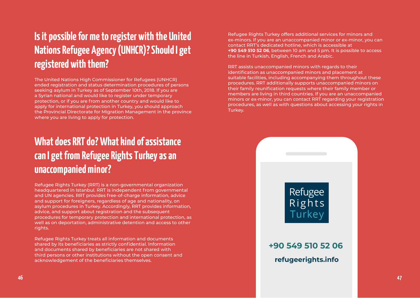#### **Is it possible for me to register with the United Nations Refugee Agency (UNHCR)? Should I get registered with them?**

The United Nations High Commissioner for Refugees (UNHCR) ended registration and status determination procedures of persons seeking asylum in Turkey as of September 10th, 2018. If you are a Syrian national and would like to register under temporary protection, or if you are from another country and would like to apply for international protection in Turkey, you should approach the Provincial Directorate for Migration Management in the province where you are living to apply for protection.

#### **What does RRT do? What kind of assistance can I get from Refugee Rights Turkey as an unaccompanied minor?**

Refugee Rights Turkey (RRT) is a non-governmental organization headquartered in Istanbul. RRT is independent from governmental and UN agencies. RRT provides free-of-charge information, advice and support for foreigners, regardless of age and nationality, on asylum procedures in Turkey. Accordingly, RRT provides information, advice, and support about registration and the subsequent procedures for temporary protection and international protection, as well as on deportation, administrative detention and access to other rights.

Refugee Rights Turkey treats all information and documents shared by its beneficiaries as strictly confidential. Information and documents shared by beneficiaries are not shared with third persons or other institutions without the open consent and acknowledgement of the beneficiaries themselves.

Refugee Rights Turkey offers additional services for minors and ex-minors. If you are an unaccompanied minor or ex-minor, you can contact RRT's dedicated hotline, which is accessible at **+90 549 510 52 06**, between 10 am and 5 pm. It is possible to access the line in Turkish, English, French and Arabic.

RRT assists unaccompanied minors with regards to their identification as unaccompanied minors and placement at suitable facilities, including accompanying them throughout these procedures. RRT additionally supports unaccompanied minors on their family reunification requests where their family member or members are living in third countries. If you are an unaccompanied minors or ex-minor, you can contact RRT regarding your registration procedures, as well as with questions about accessing your rights in Turkey.